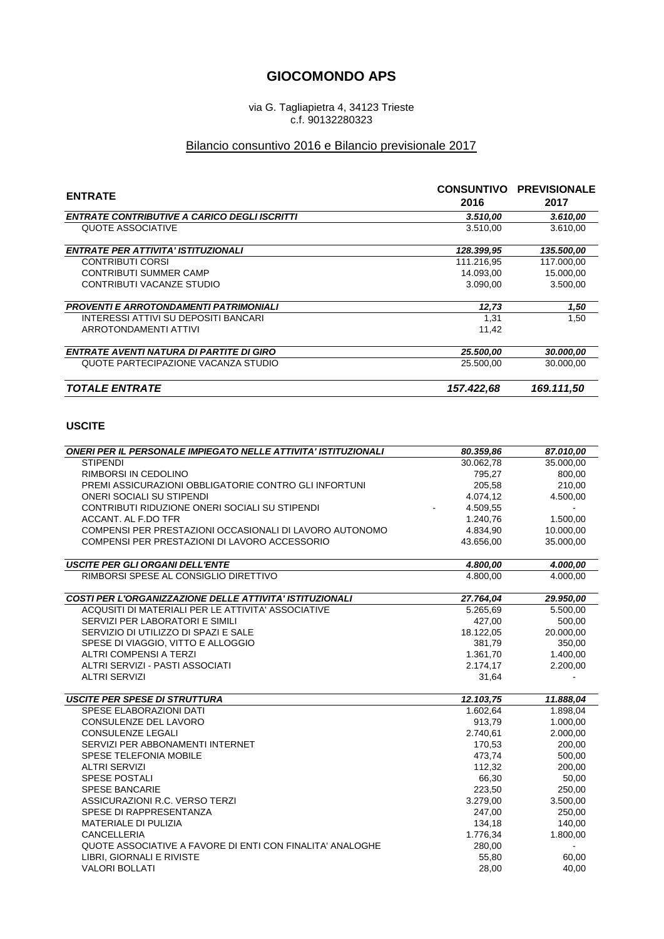## **GIOCOMONDO APS**

via G. Tagliapietra 4, 34123 Trieste c.f. 90132280323

## Bilancio consuntivo 2016 e Bilancio previsionale 2017

| <b>ENTRATE</b>                                      | 2016       | <b>CONSUNTIVO PREVISIONALE</b><br>2017 |
|-----------------------------------------------------|------------|----------------------------------------|
| <b>ENTRATE CONTRIBUTIVE A CARICO DEGLI ISCRITTI</b> | 3.510,00   | 3.610,00                               |
| QUOTE ASSOCIATIVE                                   | 3.510.00   | 3.610.00                               |
| <b>ENTRATE PER ATTIVITA' ISTITUZIONALI</b>          | 128.399,95 | 135.500,00                             |
| CONTRIBUTI CORSI                                    | 111.216.95 | 117.000,00                             |
| <b>CONTRIBUTI SUMMER CAMP</b>                       | 14.093,00  | 15.000,00                              |
| CONTRIBUTI VACANZE STUDIO                           | 3.090.00   | 3.500.00                               |
| <b>PROVENTI E ARROTONDAMENTI PATRIMONIALI</b>       | 12.73      | 1,50                                   |
| INTERESSI ATTIVI SU DEPOSITI BANCARI                | 1,31       | 1.50                                   |
| ARROTONDAMENTI ATTIVI                               | 11,42      |                                        |
| <b>ENTRATE AVENTI NATURA DI PARTITE DI GIRO</b>     | 25.500,00  | 30.000,00                              |
| QUOTE PARTECIPAZIONE VACANZA STUDIO                 | 25.500.00  | 30,000,00                              |
| <b>TOTALE ENTRATE</b>                               | 157.422,68 | 169.111.50                             |

## **USCITE**

| <b>ONERI PER IL PERSONALE IMPIEGATO NELLE ATTIVITA' ISTITUZIONALI</b> | 80.359,86 | 87.010,00      |
|-----------------------------------------------------------------------|-----------|----------------|
| <b>STIPENDI</b>                                                       | 30.062,78 | 35.000,00      |
| RIMBORSI IN CEDOLINO                                                  | 795,27    | 800,00         |
| PREMI ASSICURAZIONI OBBLIGATORIE CONTRO GLI INFORTUNI                 | 205,58    | 210,00         |
| <b>ONERI SOCIALI SU STIPENDI</b>                                      | 4.074,12  | 4.500,00       |
| CONTRIBUTI RIDUZIONE ONERI SOCIALI SU STIPENDI                        | 4.509,55  |                |
| ACCANT. AL F.DO TFR                                                   | 1.240.76  | 1.500.00       |
| COMPENSI PER PRESTAZIONI OCCASIONALI DI LAVORO AUTONOMO               | 4.834,90  | 10.000,00      |
| COMPENSI PER PRESTAZIONI DI LAVORO ACCESSORIO                         | 43.656,00 | 35.000,00      |
| <b>USCITE PER GLI ORGANI DELL'ENTE</b>                                | 4.800,00  | 4.000,00       |
| RIMBORSI SPESE AL CONSIGLIO DIRETTIVO                                 | 4.800.00  | 4.000,00       |
|                                                                       |           |                |
| <b>COSTI PER L'ORGANIZZAZIONE DELLE ATTIVITA' ISTITUZIONALI</b>       | 27.764,04 | 29.950,00      |
| ACQUSITI DI MATERIALI PER LE ATTIVITA' ASSOCIATIVE                    | 5.265,69  | 5.500,00       |
| SERVIZI PER LABORATORI E SIMILI                                       | 427,00    | 500,00         |
| SERVIZIO DI UTILIZZO DI SPAZI E SALE                                  | 18.122,05 | 20.000,00      |
| SPESE DI VIAGGIO, VITTO E ALLOGGIO                                    | 381,79    | 350,00         |
| <b>ALTRI COMPENSI A TERZI</b>                                         | 1.361,70  | 1.400,00       |
| ALTRI SERVIZI - PASTI ASSOCIATI                                       | 2.174,17  | 2.200,00       |
| <b>ALTRI SERVIZI</b>                                                  | 31,64     |                |
| <b>USCITE PER SPESE DI STRUTTURA</b>                                  | 12.103,75 | 11.888,04      |
| SPESE ELABORAZIONI DATI                                               | 1.602,64  | 1.898,04       |
| CONSULENZE DEL LAVORO                                                 | 913,79    | 1.000,00       |
| <b>CONSULENZE LEGALI</b>                                              | 2.740,61  | 2.000,00       |
| SERVIZI PER ABBONAMENTI INTERNET                                      | 170,53    | 200,00         |
| SPESE TELEFONIA MOBILE                                                | 473,74    | 500,00         |
| <b>ALTRI SERVIZI</b>                                                  | 112,32    | 200,00         |
| <b>SPESE POSTALI</b>                                                  | 66,30     | 50,00          |
| <b>SPESE BANCARIE</b>                                                 | 223,50    | 250,00         |
| ASSICURAZIONI R.C. VERSO TERZI                                        | 3.279,00  | 3.500,00       |
| SPESE DI RAPPRESENTANZA                                               | 247,00    | 250,00         |
| <b>MATERIALE DI PULIZIA</b>                                           | 134,18    | 140,00         |
| <b>CANCELLERIA</b>                                                    | 1.776,34  | 1.800,00       |
| QUOTE ASSOCIATIVE A FAVORE DI ENTI CON FINALITA' ANALOGHE             | 280,00    | $\blacksquare$ |
| LIBRI, GIORNALI E RIVISTE                                             | 55,80     | 60,00          |
| <b>VALORI BOLLATI</b>                                                 | 28,00     | 40,00          |